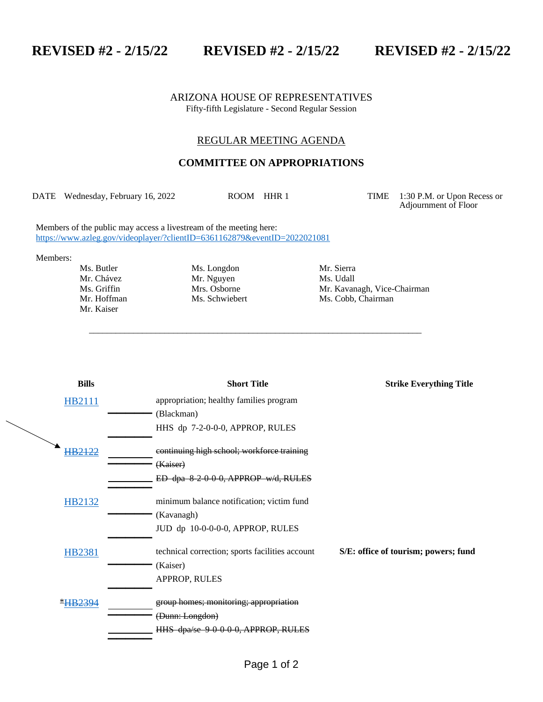**REVISED #2 - 2/15/22 REVISED #2 - 2/15/22 REVISED #2 - 2/15/22**

ARIZONA HOUSE OF REPRESENTATIVES Fifty-fifth Legislature - Second Regular Session

## REGULAR MEETING AGENDA

## **COMMITTEE ON APPROPRIATIONS**

DATE Wednesday, February 16, 2022 ROOM HHR 1 TIME 1:30 P.M. or Upon Recess or

\_\_\_\_\_\_\_\_\_\_\_\_\_\_\_\_\_\_\_\_\_\_\_\_\_\_\_\_\_\_\_\_\_\_\_\_\_\_\_\_\_\_\_\_\_\_\_\_\_\_\_\_\_\_\_\_\_\_\_\_\_\_\_\_\_\_\_\_\_\_\_\_\_\_\_

Adjournment of Floor

Members of the public may access a livestream of the meeting here: <https://www.azleg.gov/videoplayer/?clientID=6361162879&eventID=2022021081>

Members:

Mr. Kaiser

Ms. Butler Ms. Longdon Mr. Sierra<br>
Mr. Chávez Mr. Nguyen Ms. Udall Mr. Chávez Mr. Nguyen

Ms. Griffin Mrs. Osborne Mrs. Mr. Kavanagh, Vice-Chairman<br>Mr. Hoffman Ms. Schwiebert Ms. Cobb. Chairman Ms. Cobb, Chairman

| <b>Bills</b>   | <b>Short Title</b>                              | <b>Strike Everything Title</b>       |
|----------------|-------------------------------------------------|--------------------------------------|
| HB2111         | appropriation; healthy families program         |                                      |
|                | (Blackman)                                      |                                      |
|                | HHS dp 7-2-0-0-0, APPROP, RULES                 |                                      |
| HB2122         | continuing high school; workforce training      |                                      |
|                | (Kaiser)                                        |                                      |
|                | ED dpa 8 2 0 0 0, APPROP w/d, RULES             |                                      |
| HB2132         | minimum balance notification; victim fund       |                                      |
|                | (Kavanagh)                                      |                                      |
|                | JUD dp 10-0-0-0-0, APPROP, RULES                |                                      |
| <b>HB2381</b>  | technical correction; sports facilities account | S/E: office of tourism; powers; fund |
|                | (Kaiser)                                        |                                      |
|                | APPROP, RULES                                   |                                      |
| <b>*HB2394</b> | group homes; monitoring; appropriation          |                                      |
|                | (Dunn: Longdon)                                 |                                      |
|                | HHS dpa/se 9-0-0-0-0, APPROP, RULES             |                                      |
|                |                                                 |                                      |